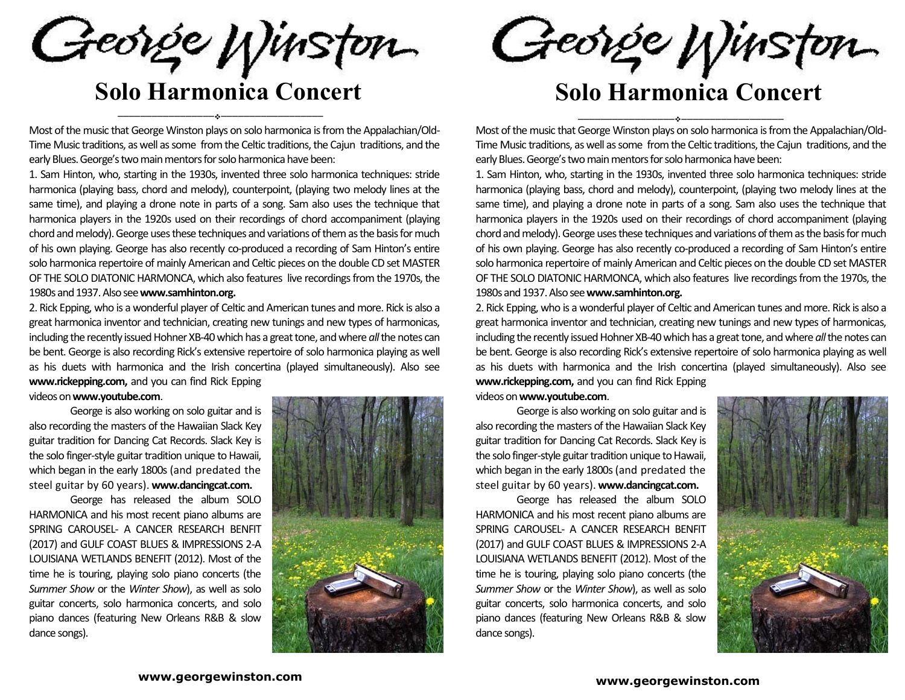George Winston

\_\_\_\_\_\_\_\_\_\_\_\_\_\_\_\_\_\_

# **Solo Harmonica Concert**

Most of the music that George Winston plays on solo harmonica is from the Appalachian/Old-Time Music traditions, as well as some from the Celtic traditions, the Cajun traditions, and the early Blues. George's two main mentors for solo harmonica have been:

1. Sam Hinton, who, starting in the 1930s, invented three solo harmonica techniques: stride harmonica (playing bass, chord and melody), counterpoint, (playing two melody lines at the same time), and playing a drone note in parts of a song. Sam also uses the technique that harmonica players in the 1920s used on their recordings of chord accompaniment (playing chord and melody). George uses these techniques and variations of them as the basis for much of his own playing. George has also recently co-produced a recording of Sam Hinton's entire solo harmonica repertoire of mainly American and Celtic pieces on the double CD set MASTER OF THE SOLO DIATONIC HARMONCA, which also features live recordings from the 1970s, the 1980s and 1937. Also see **www.samhinton.org.**

2. Rick Epping, who is a wonderful player of Celtic and American tunes and more. Rick is also a great harmonica inventor and technician, creating new tunings and new types of harmonicas, including the recently issued Hohner XB-40 which has a great tone, and where *all* the notes can be bent. George is also recording Rick's extensive repertoire of solo harmonica playing as well as his duets with harmonica and the Irish concertina (played simultaneously). Also see **www.rickepping.com,** and you can find Rick Epping

videos on **www.youtube.com**.

George is also working on solo guitar and is also recording the masters of the Hawaiian Slack Key guitar tradition for Dancing Cat Records. Slack Key is the solo finger-style guitar tradition unique to Hawaii, which began in the early 1800s (and predated the steel guitar by 60 years). **www.dancingcat.com.** 

 $\frac{1}{2}$ 

George has released the album SOLO HARMONICA and his most recent piano albums are SPRING CAROUSEL- A CANCER RESEARCH BENFIT (2017) and GULF COAST BLUES & IMPRESSIONS 2-A LOUISIANA WETLANDS BENEFIT (2012). Most of the time he is touring, playing solo piano concerts (the *Summer Show* or the *Winter Show*), as well as solo guitar concerts, solo harmonica concerts, and solo piano dances (featuring New Orleans R&B & slow dance songs).



#### **www.georgewinston.com**